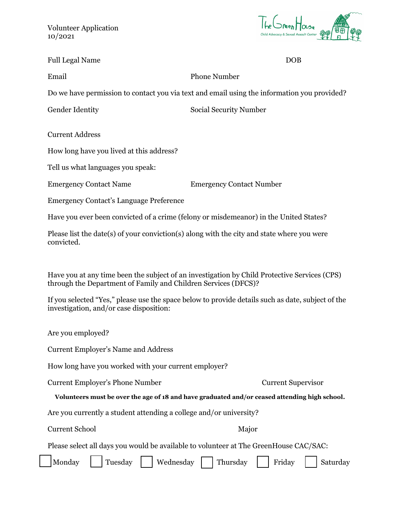Volunteer Application 10/2021



| <b>Full Legal Name</b> | <b>DOB</b> |
|------------------------|------------|
|------------------------|------------|

Email Phone Number

Do we have permission to contact you via text and email using the information you provided?

Gender Identity Social Security Number

Current Address

How long have you lived at this address?

Tell us what languages you speak:

Emergency Contact Name Emergency Contact Number

Emergency Contact's Language Preference

Have you ever been convicted of a crime (felony or misdemeanor) in the United States?

Please list the date(s) of your conviction(s) along with the city and state where you were convicted.

Have you at any time been the subject of an investigation by Child Protective Services (CPS) through the Department of Family and Children Services (DFCS)?

If you selected "Yes," please use the space below to provide details such as date, subject of the investigation, and/or case disposition:

Are you employed?

Current Employer's Name and Address

How long have you worked with your current employer?

Current Employer's Phone Number Current Supervisor

## **Volunteers must be over the age of 18 and have graduated and/or ceased attending high school.**

Are you currently a student attending a college and/or university?

Current School Major

Please select all days you would be available to volunteer at The GreenHouse CAC/SAC:

| Monday | Tuesday | | Wednesday | | Thursday | | Friday | | Saturday